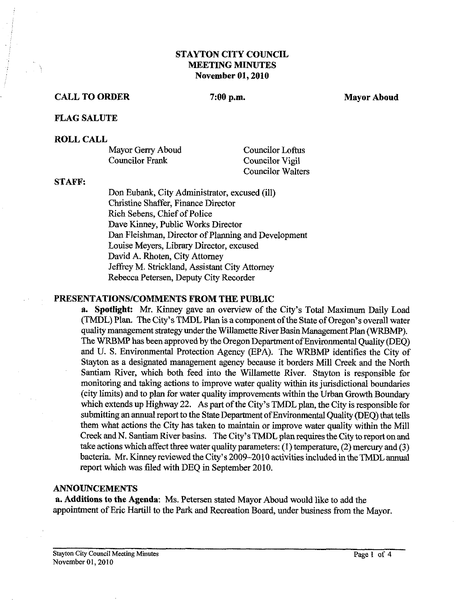# **STAYTON CITY COUNCIL MEETING MINUTES November 01,2010**

#### **CALL TO ORDER** 7:00 p.m. Mayor Aboud Mayor Aboud

#### **FLAG SALUTE**

#### **ROLL CALL**

| Mayor Gerry Aboud | Councilor Loftus  |
|-------------------|-------------------|
| Councilor Frank   | Councilor Vigil   |
|                   | Councilor Walters |

#### **STAFF:**

Don Eubank, City Administrator, excused (ill) Christine Shaffer, Finance Director Rich Sebens, Chief of Police Dave Kinney, Public Works Director Dan Fleishrnan, Director of Planning and Development Louise Meyers, Library Director, excused David A. Rhoten, City Attorney Jeffrey M. Strickland, Assistant City Attorney Rebecca Petersen, Deputy City Recorder

#### **PRESENTATIONSICOMMENTS FROM THE PUBLIC**

**a. Spotlight: Mr.** Kinney gave an overview of the City's Total Maximum Daily Load (TMDL) Plan. The City's TMDL Plan is a component of the State of Oregon's overall water quality management strategy under the Willamette River Basin Management Plan (WRBMP). The WRBMP has been approved by the Oregon Department of Environmental Quality (DEQ) and U. S. Environmental Protection Agency (EPA). The WRBMP identifies the City of Stayton as a designated management agency because it borders Mill Creek and the North Santiam River, which both feed into the Willamette River. Stayton is responsible for monitoring and taking actions to improve water quality within its jurisdictional boundaries (city limits) and to plan for water quality improvements within the Urban Growth Boundary which extends up Highway 22. As part of the City's TMDL plan, the City is responsible for submitting an annual report to the State Department of Environmental Quality (DEQ) that tells them what actions the City has taken to maintain or improve water quality within the Mill Creek and N. Santiam River basins. The City's TMDL plan requires the City to report on and take actions which affect three water quality parameters: (I) temperature, (2) mercury and **(3)**  bacteria. Mr. Kinney reviewed the City's 2009-20 10 activities included in the TMDL annual report which was filed with DEQ in September 2010.

#### **ANNOUNCEMENTS**

**a. Additions to the Agenda:** Ms. Petersen stated Mayor Aboud would like to add the appointment of Eric Hartill to the Park and Recreation Board, under business from the Mayor.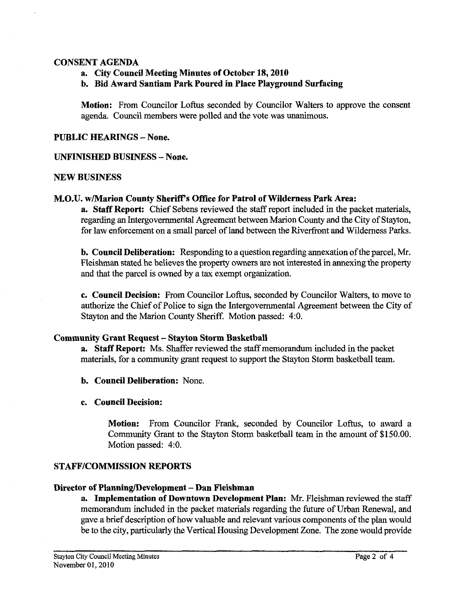### CONSENT AGENDA

a. City Council Meeting Minutes of October **18,2010** 

b. Bid Award Santiam Park Poured in Place Playground Surfaeing

Motion: From Councilor Loftus seconded by Councilor Walters to approve the consent agenda. Council members were polled and the vote was unanimous.

PUBLIC HEARINGS - None.

## UNFINISHED BUSINESS - None.

#### NEW BUSINESS

## M.O.U. w/Marion County Sheriff's Office for Patrol of Wilderness Park Area:

a. Staff Report: Chief Sebens reviewed the staff report included in the packet materials, regarding an Intergovernmental Agreement between Marion County and the City of Stayton, for law enforcement on a small parcel of land between the Riverfront and Wilderness Parks.

b. Council Deliberation: Responding to a question regarding annexation of the parcel, Mr. Fleishman stated he believes the property owners are not interested in annexing the property and that the parcel is owned by a tax exempt organization.

c. Council Decision: From Councilor Loftus, seconded by Councilor Walters, to move to authorize the Chief of Police to sign the Intergovernmental Agreement between the City of Stayton and the Marion County Sheriff. Motion passed: **4:O.** 

## Community Grant Request - Stayton Storm Basketball

a. Staff Report: Ms. Shaffer reviewed the staff memorandum included in the packet materials, for a community grant request to support the Stayton Storm basketball team.

- b. Council Deliberation: None.
- c. Council Decision:

Motion: From Councilor Frank, seconded by Councilor Loftus, to award a Community Grant to the Stayton Storm basketball team in the amount of \$150.00. Motion passed: 4:O.

## STAFF/COMMISSION REPORTS

## Director of Planning/Development - Dan Fleishman

a. Implementation of Downtown Development Plan: Mr. Fleishman reviewed the staff memorandum included in the packet materials regarding the future of Urban Renewal, and gave a brief description of how valuable and relevant various components of the plan would be to the city, particularly the Vertical Housing Development Zone. The zone would provide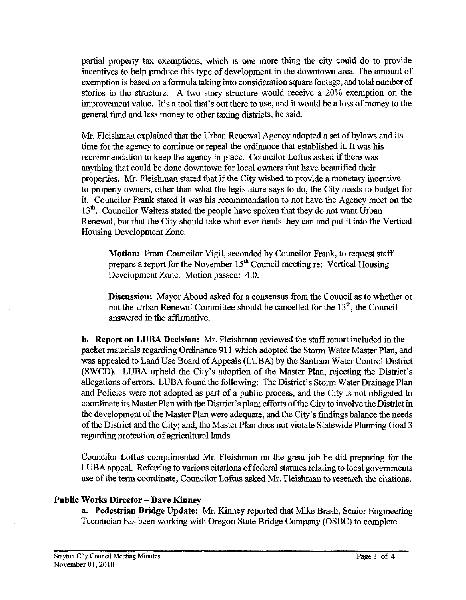partial property **tax** exemptions, which is one more thing the city could do to provide incentives to help produce this type of development in the downtown area. The amount of exemption is based on a formula taking into consideration square footage, and total number of stories to the structure. A two story structure would receive a 20% exemption on the improvement value. It's a tool that's out there to use, and it would be a loss of money to the general fund and less money to other taxing districts, he said.

Mr. Fleishman explained that the Urban Renewal Agency adopted a set of bylaws and its time for the agency to continue or repeal the ordinance that established it. It was his recommendation to keep the agency in place. Councilor Loftus asked if there was anything that could be done downtown for local owners **that** have beautified their properties. Mr. Fleishman stated that if the City wished to provide a monetary incentive to property owners, other than what the legislature says to do, the City needs to budget for it. Councilor Frank stated it was his recommendation to not have the Agency meet on the **13".** Councilor Walters stated the people have spoken that they do not want Urban Renewal, but that the City should take what ever funds they can and put it into the Vertical Housing Development Zone.

**Motion:** From Councilor Vigil, seconded by Councilor Frank, to request staff prepare a report for the November 15" Council meeting re: Vertical Housing Development Zone. Motion passed: **4:O.** 

**Discussion:** Mayor Aboud asked for a consensus fiom the Council as to whether or not the Urban Renewal Committee should be cancelled for the 13", the Council answered in the affirmative.

**b. Report on LUBA Decision:** Mr. Fleishman reviewed the staff report included in the packet materials regarding Ordinance 911 which adopted the Storm Water Master Plan, and was appealed to Land Use Board of Appeals (LUBA) by the Santiam Water Control District (SWCD). LUBA upheld the City's adoption of the Master Plan, rejecting the District's allegations of errors. LUBA found the following: The District's Storm Water Drainage Plan and Policies were not adopted as part of a public process, and the City is not obligated to coordinate its Master Plan with the District's plan; efforts of the City to involve the District in the development of the Master Plan were adequate, and the City's findings balance the needs of the District and the City; and, the Master Plan does not violate Statewide Planning Goal 3 regarding protection of agricultural lands.

Councilor Loftus complimented Mr. Fleishman on the great job he did preparing for the LUBA appeal. Referring to various citations of federal statutes relating to local governments use of the term coordinate, Councilor Loftus asked Mr. Fleishman to research the citations.

## **Public Works Director** - **Dave Kinney**

**a. Pedestrian Bridge Update: Mr.** Kinney reported that Mike Brash, Senior Engineering Technician has been working with Oregon State Bridge Company (OSBC) to complete